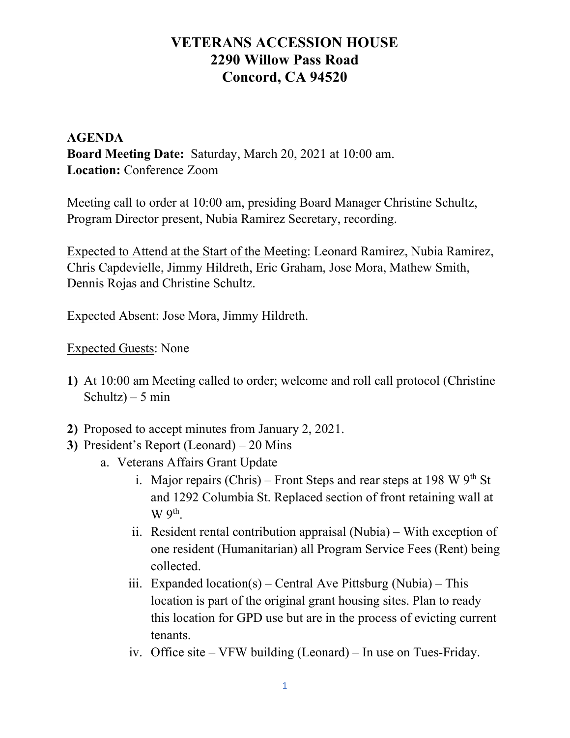#### AGENDA Board Meeting Date: Saturday, March 20, 2021 at 10:00 am. Location: Conference Zoom

Meeting call to order at 10:00 am, presiding Board Manager Christine Schultz, Program Director present, Nubia Ramirez Secretary, recording.

Expected to Attend at the Start of the Meeting: Leonard Ramirez, Nubia Ramirez, Chris Capdevielle, Jimmy Hildreth, Eric Graham, Jose Mora, Mathew Smith, Dennis Rojas and Christine Schultz.

Expected Absent: Jose Mora, Jimmy Hildreth.

Expected Guests: None

- 1) At 10:00 am Meeting called to order; welcome and roll call protocol (Christine Schultz) – 5 min
- 2) Proposed to accept minutes from January 2, 2021.
- 3) President's Report (Leonard) 20 Mins
	- a. Veterans Affairs Grant Update
		- i. Major repairs (Chris) Front Steps and rear steps at 198 W  $9<sup>th</sup>$  St and 1292 Columbia St. Replaced section of front retaining wall at  $W$   $9<sup>th</sup>$ .
		- ii. Resident rental contribution appraisal (Nubia) With exception of one resident (Humanitarian) all Program Service Fees (Rent) being collected.
		- iii. Expanded location(s) Central Ave Pittsburg (Nubia) This location is part of the original grant housing sites. Plan to ready this location for GPD use but are in the process of evicting current tenants.
		- iv. Office site VFW building (Leonard) In use on Tues-Friday.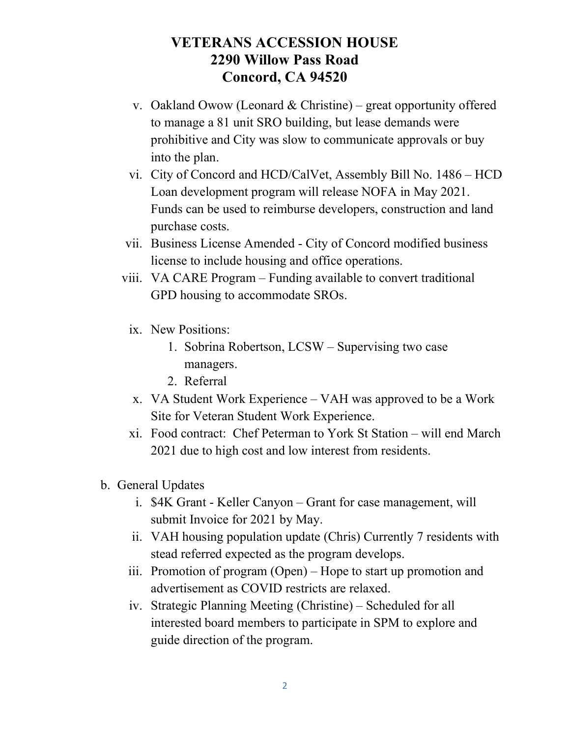- v. Oakland Owow (Leonard & Christine) great opportunity offered to manage a 81 unit SRO building, but lease demands were prohibitive and City was slow to communicate approvals or buy into the plan.
- vi. City of Concord and HCD/CalVet, Assembly Bill No. 1486 HCD Loan development program will release NOFA in May 2021. Funds can be used to reimburse developers, construction and land purchase costs.
- vii. Business License Amended City of Concord modified business license to include housing and office operations.
- viii. VA CARE Program Funding available to convert traditional GPD housing to accommodate SROs.
	- ix. New Positions:
		- 1. Sobrina Robertson, LCSW Supervising two case managers.
		- 2. Referral
	- x. VA Student Work Experience VAH was approved to be a Work Site for Veteran Student Work Experience.
	- xi. Food contract: Chef Peterman to York St Station will end March 2021 due to high cost and low interest from residents.
- b. General Updates
	- i. \$4K Grant Keller Canyon Grant for case management, will submit Invoice for 2021 by May.
	- ii. VAH housing population update (Chris) Currently 7 residents with stead referred expected as the program develops.
	- iii. Promotion of program (Open) Hope to start up promotion and advertisement as COVID restricts are relaxed.
	- iv. Strategic Planning Meeting (Christine) Scheduled for all interested board members to participate in SPM to explore and guide direction of the program.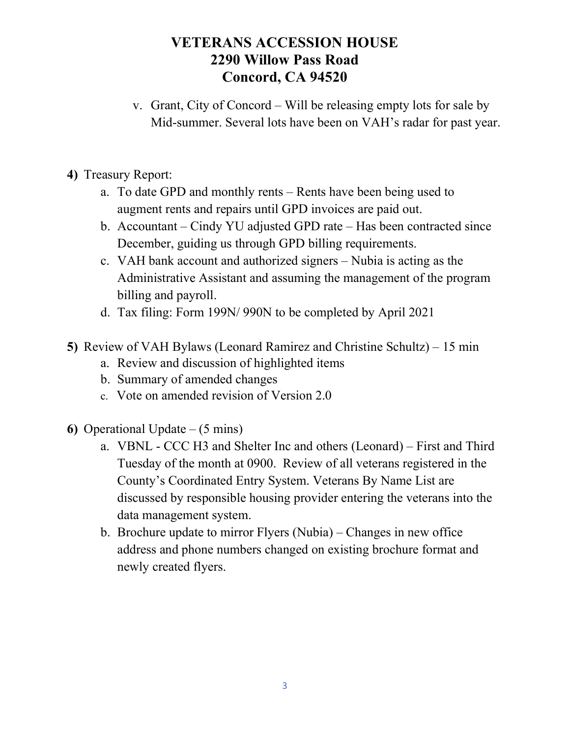- v. Grant, City of Concord Will be releasing empty lots for sale by Mid-summer. Several lots have been on VAH's radar for past year.
- 4) Treasury Report:
	- a. To date GPD and monthly rents Rents have been being used to augment rents and repairs until GPD invoices are paid out.
	- b. Accountant Cindy YU adjusted GPD rate Has been contracted since December, guiding us through GPD billing requirements.
	- c. VAH bank account and authorized signers Nubia is acting as the Administrative Assistant and assuming the management of the program billing and payroll.
	- d. Tax filing: Form 199N/ 990N to be completed by April 2021
- 5) Review of VAH Bylaws (Leonard Ramirez and Christine Schultz) 15 min
	- a. Review and discussion of highlighted items
	- b. Summary of amended changes
	- c. Vote on amended revision of Version 2.0
- 6) Operational Update  $-$  (5 mins)
	- a. VBNL CCC H3 and Shelter Inc and others (Leonard) First and Third Tuesday of the month at 0900. Review of all veterans registered in the County's Coordinated Entry System. Veterans By Name List are discussed by responsible housing provider entering the veterans into the data management system.
	- b. Brochure update to mirror Flyers (Nubia) Changes in new office address and phone numbers changed on existing brochure format and newly created flyers.